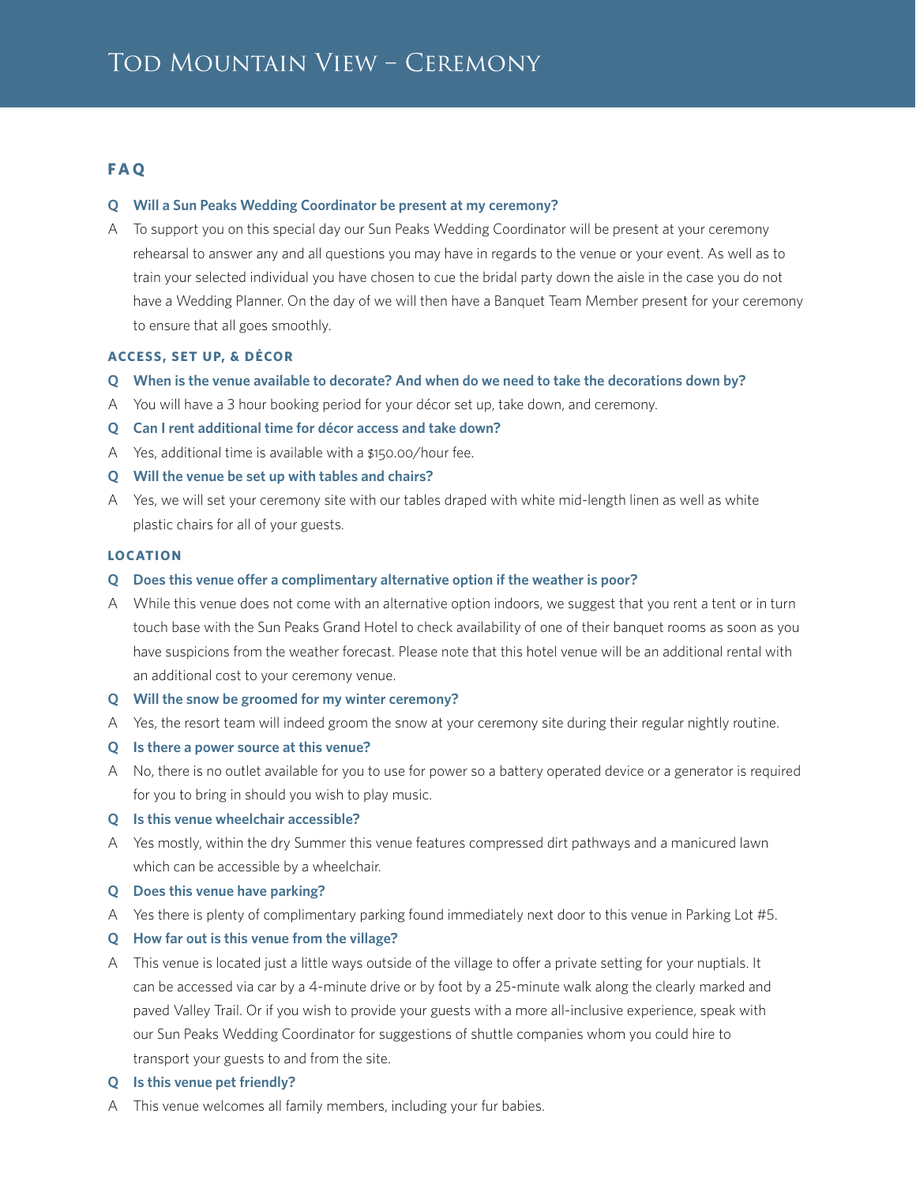# **F A Q**

### **Q Will a Sun Peaks Wedding Coordinator be present at my ceremony?**

A To support you on this special day our Sun Peaks Wedding Coordinator will be present at your ceremony rehearsal to answer any and all questions you may have in regards to the venue or your event. As well as to train your selected individual you have chosen to cue the bridal party down the aisle in the case you do not have a Wedding Planner. On the day of we will then have a Banquet Team Member present for your ceremony to ensure that all goes smoothly.

### **ACCESS, SET UP, & DÉCOR**

- **Q When is the venue available to decorate? And when do we need to take the decorations down by?**
- A You will have a 3 hour booking period for your décor set up, take down, and ceremony.
- **Q Can I rent additional time for décor access and take down?**
- A Yes, additional time is available with a \$150.00/hour fee.
- **Q Will the venue be set up with tables and chairs?**
- A Yes, we will set your ceremony site with our tables draped with white mid-length linen as well as white plastic chairs for all of your guests.

#### **LOCATION**

- **Q Does this venue offer a complimentary alternative option if the weather is poor?**
- A While this venue does not come with an alternative option indoors, we suggest that you rent a tent or in turn touch base with the Sun Peaks Grand Hotel to check availability of one of their banquet rooms as soon as you have suspicions from the weather forecast. Please note that this hotel venue will be an additional rental with an additional cost to your ceremony venue.
- **Q Will the snow be groomed for my winter ceremony?**
- A Yes, the resort team will indeed groom the snow at your ceremony site during their regular nightly routine.
- **Q Is there a power source at this venue?**
- A No, there is no outlet available for you to use for power so a battery operated device or a generator is required for you to bring in should you wish to play music.

### **Q Is this venue wheelchair accessible?**

- A Yes mostly, within the dry Summer this venue features compressed dirt pathways and a manicured lawn which can be accessible by a wheelchair.
- **Q Does this venue have parking?**
- A Yes there is plenty of complimentary parking found immediately next door to this venue in Parking Lot #5.

### **Q How far out is this venue from the village?**

- A This venue is located just a little ways outside of the village to offer a private setting for your nuptials. It can be accessed via car by a 4-minute drive or by foot by a 25-minute walk along the clearly marked and paved Valley Trail. Or if you wish to provide your guests with a more all-inclusive experience, speak with our Sun Peaks Wedding Coordinator for suggestions of shuttle companies whom you could hire to transport your guests to and from the site.
- **Q Is this venue pet friendly?**
- A This venue welcomes all family members, including your fur babies.